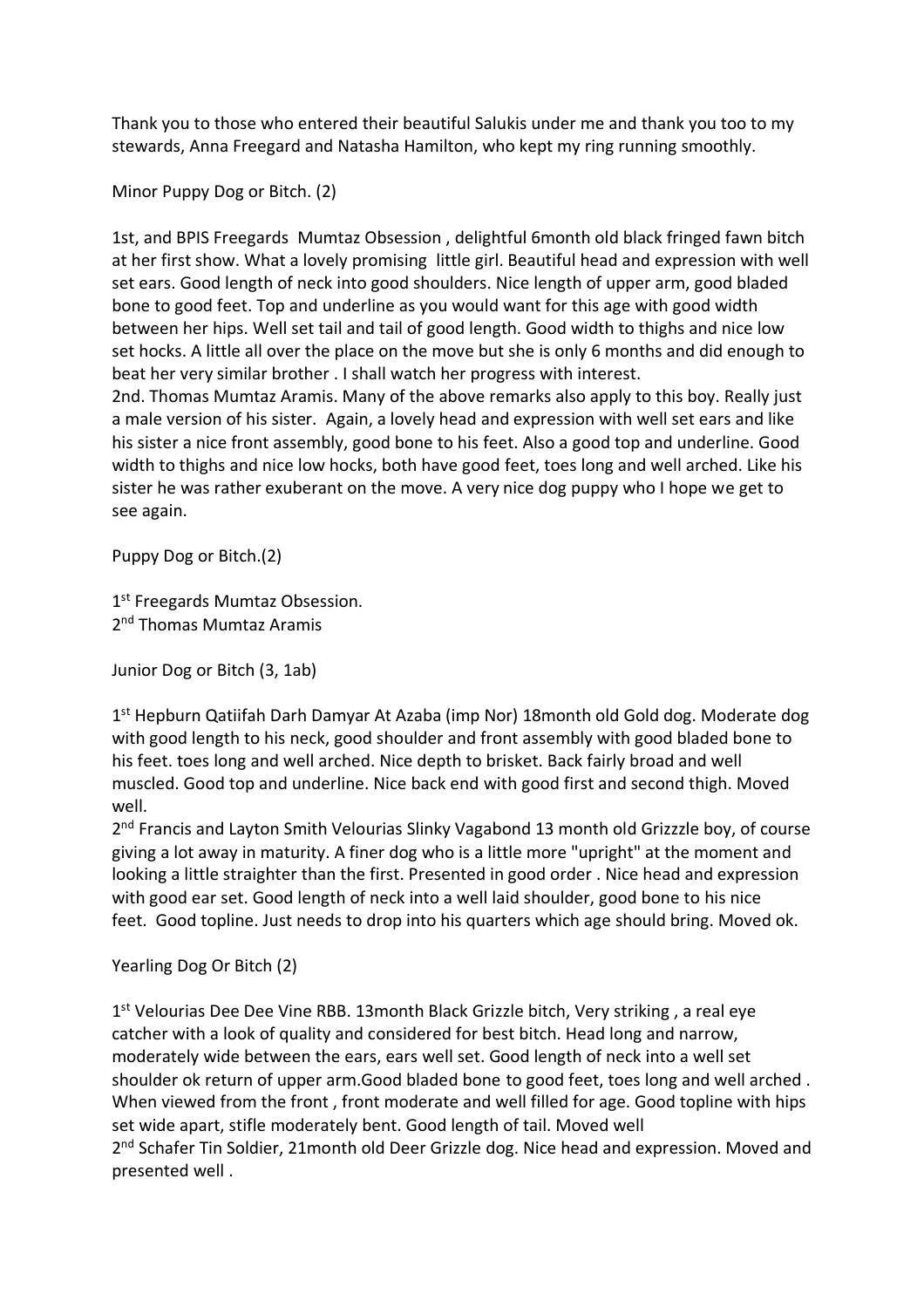Thank you to those who entered their beautiful Salukis under me and thank you too to my stewards, Anna Freegard and Natasha Hamilton, who kept my ring running smoothly.

Minor Puppy Dog or Bitch. (2)

1st, and BPIS Freegards Mumtaz Obsession , delightful 6month old black fringed fawn bitch at her first show. What a lovely promising little girl. Beautiful head and expression with well set ears. Good length of neck into good shoulders. Nice length of upper arm, good bladed bone to good feet. Top and underline as you would want for this age with good width between her hips. Well set tail and tail of good length. Good width to thighs and nice low set hocks. A little all over the place on the move but she is only 6 months and did enough to beat her very similar brother . I shall watch her progress with interest. 2nd. Thomas Mumtaz Aramis. Many of the above remarks also apply to this boy. Really just

a male version of his sister. Again, a lovely head and expression with well set ears and like his sister a nice front assembly, good bone to his feet. Also a good top and underline. Good width to thighs and nice low hocks, both have good feet, toes long and well arched. Like his sister he was rather exuberant on the move. A very nice dog puppy who I hope we get to see again.

Puppy Dog or Bitch.(2)

1<sup>st</sup> Freegards Mumtaz Obsession. 2<sup>nd</sup> Thomas Mumtaz Aramis

Junior Dog or Bitch (3, 1ab)

1<sup>st</sup> Hepburn Qatiifah Darh Damyar At Azaba (imp Nor) 18month old Gold dog. Moderate dog with good length to his neck, good shoulder and front assembly with good bladed bone to his feet. toes long and well arched. Nice depth to brisket. Back fairly broad and well muscled. Good top and underline. Nice back end with good first and second thigh. Moved well.

2<sup>nd</sup> Francis and Layton Smith Velourias Slinky Vagabond 13 month old Grizzzle boy, of course giving a lot away in maturity. A finer dog who is a little more "upright" at the moment and looking a little straighter than the first. Presented in good order . Nice head and expression with good ear set. Good length of neck into a well laid shoulder, good bone to his nice feet. Good topline. Just needs to drop into his quarters which age should bring. Moved ok.

Yearling Dog Or Bitch (2)

1<sup>st</sup> Velourias Dee Dee Vine RBB. 13month Black Grizzle bitch, Very striking, a real eye catcher with a look of quality and considered for best bitch. Head long and narrow, moderately wide between the ears, ears well set. Good length of neck into a well set shoulder ok return of upper arm.Good bladed bone to good feet, toes long and well arched . When viewed from the front , front moderate and well filled for age. Good topline with hips set wide apart, stifle moderately bent. Good length of tail. Moved well 2<sup>nd</sup> Schafer Tin Soldier, 21month old Deer Grizzle dog. Nice head and expression. Moved and presented well .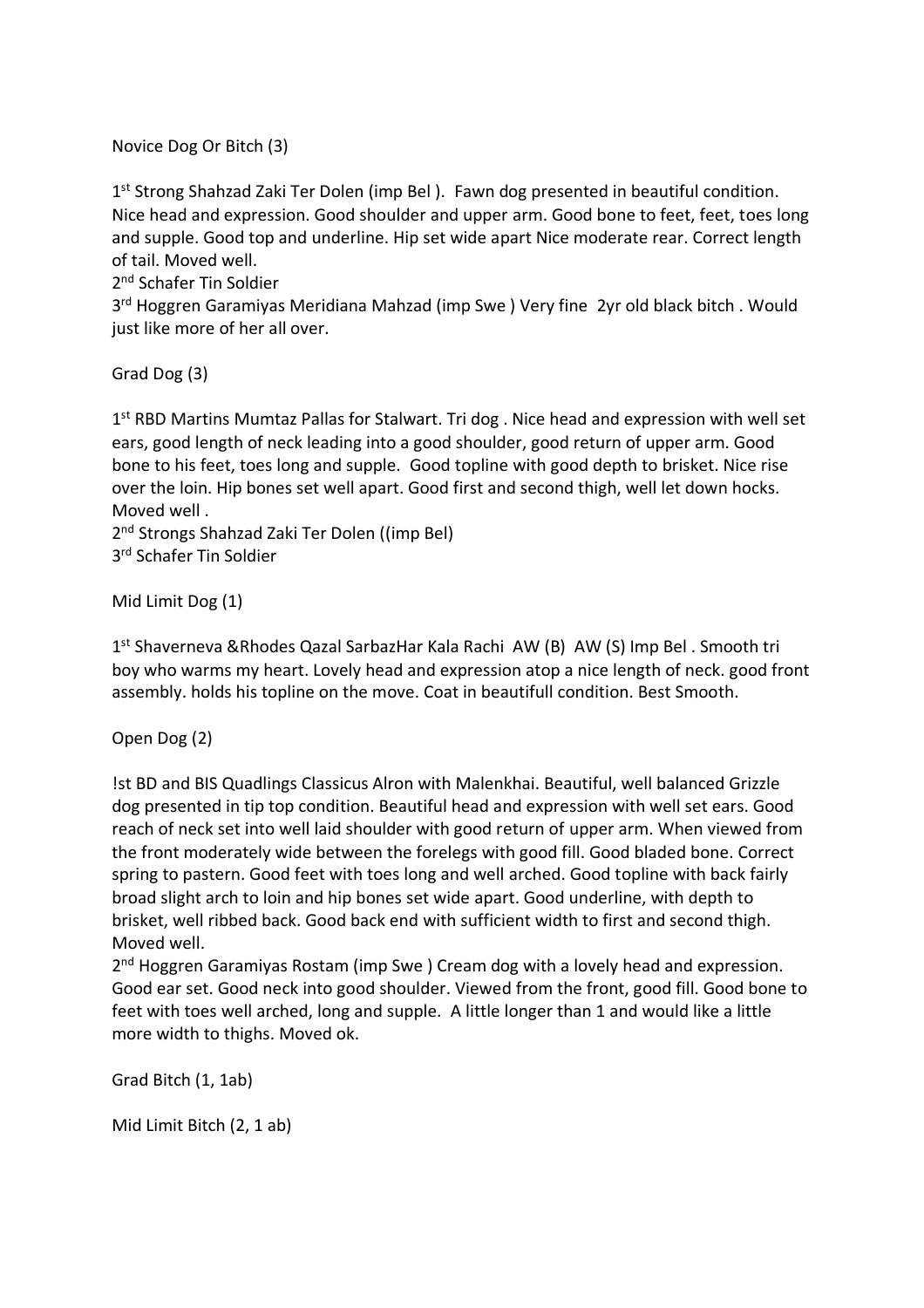Novice Dog Or Bitch (3)

1<sup>st</sup> Strong Shahzad Zaki Ter Dolen (imp Bel). Fawn dog presented in beautiful condition. Nice head and expression. Good shoulder and upper arm. Good bone to feet, feet, toes long and supple. Good top and underline. Hip set wide apart Nice moderate rear. Correct length of tail. Moved well.

2<sup>nd</sup> Schafer Tin Soldier

3<sup>rd</sup> Hoggren Garamiyas Meridiana Mahzad (imp Swe) Very fine 2yr old black bitch. Would just like more of her all over.

Grad Dog (3)

1<sup>st</sup> RBD Martins Mumtaz Pallas for Stalwart. Tri dog . Nice head and expression with well set ears, good length of neck leading into a good shoulder, good return of upper arm. Good bone to his feet, toes long and supple. Good topline with good depth to brisket. Nice rise over the loin. Hip bones set well apart. Good first and second thigh, well let down hocks. Moved well .

2<sup>nd</sup> Strongs Shahzad Zaki Ter Dolen ((imp Bel) 3 rd Schafer Tin Soldier

Mid Limit Dog (1)

1<sup>st</sup> Shaverneva &Rhodes Qazal SarbazHar Kala Rachi AW (B) AW (S) Imp Bel . Smooth tri boy who warms my heart. Lovely head and expression atop a nice length of neck. good front assembly. holds his topline on the move. Coat in beautifull condition. Best Smooth.

Open Dog (2)

!st BD and BIS Quadlings Classicus Alron with Malenkhai. Beautiful, well balanced Grizzle dog presented in tip top condition. Beautiful head and expression with well set ears. Good reach of neck set into well laid shoulder with good return of upper arm. When viewed from the front moderately wide between the forelegs with good fill. Good bladed bone. Correct spring to pastern. Good feet with toes long and well arched. Good topline with back fairly broad slight arch to loin and hip bones set wide apart. Good underline, with depth to brisket, well ribbed back. Good back end with sufficient width to first and second thigh. Moved well.

2<sup>nd</sup> Hoggren Garamiyas Rostam (imp Swe) Cream dog with a lovely head and expression. Good ear set. Good neck into good shoulder. Viewed from the front, good fill. Good bone to feet with toes well arched, long and supple. A little longer than 1 and would like a little more width to thighs. Moved ok.

Grad Bitch (1, 1ab)

Mid Limit Bitch (2, 1 ab)